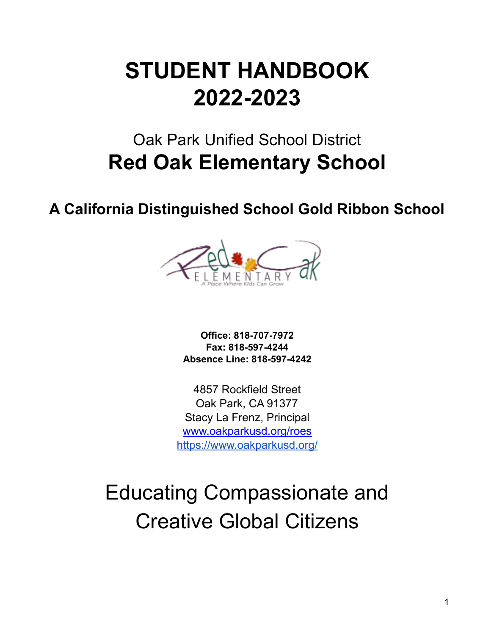# **STUDENT HANDBOOK 2022-2023**

# Oak Park Unified School District **Red Oak Elementary School**

**A California Distinguished School Gold Ribbon School**



**Office: 818-707-7972 Fax: 818-597-4244 Absence Line: 818-597-4242**

4857 Rockfield Street Oak Park, CA 91377 Stacy La Frenz, Principal www.oakparkusd.org/roes <https://www.oakparkusd.org/>

# Educating Compassionate and Creative Global Citizens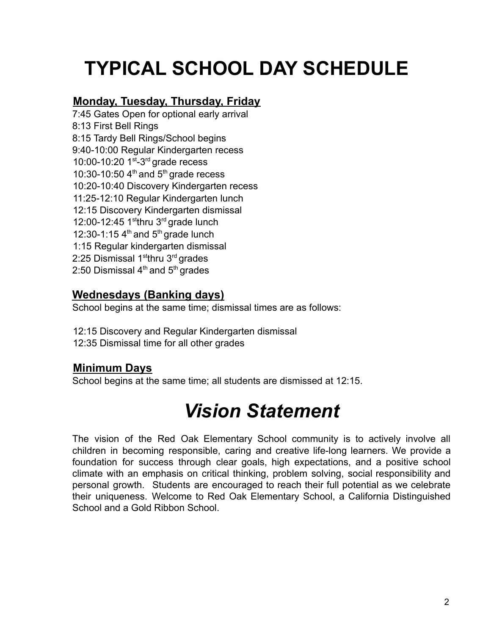# **TYPICAL SCHOOL DAY SCHEDULE**

#### **Monday, Tuesday, Thursday, Friday**

7:45 Gates Open for optional early arrival 8:13 First Bell Rings 8:15 Tardy Bell Rings/School begins 9:40-10:00 Regular Kindergarten recess 10:00-10:20  $1<sup>st-3rd</sup>$  grade recess 10:30-10:50  $4<sup>th</sup>$  and  $5<sup>th</sup>$  grade recess 10:20-10:40 Discovery Kindergarten recess 11:25-12:10 Regular Kindergarten lunch 12:15 Discovery Kindergarten dismissal 12:00-12:45 1sthru  $3<sup>rd</sup>$  grade lunch 12:30-1:15  $4<sup>th</sup>$  and  $5<sup>th</sup>$  grade lunch 1:15 Regular kindergarten dismissal 2:25 Dismissal 1<sup>st</sup>thru 3<sup>rd</sup> grades 2:50 Dismissal  $4<sup>th</sup>$  and  $5<sup>th</sup>$  grades

#### **Wednesdays (Banking days)**

School begins at the same time; dismissal times are as follows:

12:15 Discovery and Regular Kindergarten dismissal 12:35 Dismissal time for all other grades

#### **Minimum Days**

School begins at the same time; all students are dismissed at 12:15.

# *Vision Statement*

The vision of the Red Oak Elementary School community is to actively involve all children in becoming responsible, caring and creative life-long learners. We provide a foundation for success through clear goals, high expectations, and a positive school climate with an emphasis on critical thinking, problem solving, social responsibility and personal growth. Students are encouraged to reach their full potential as we celebrate their uniqueness. Welcome to Red Oak Elementary School, a California Distinguished School and a Gold Ribbon School.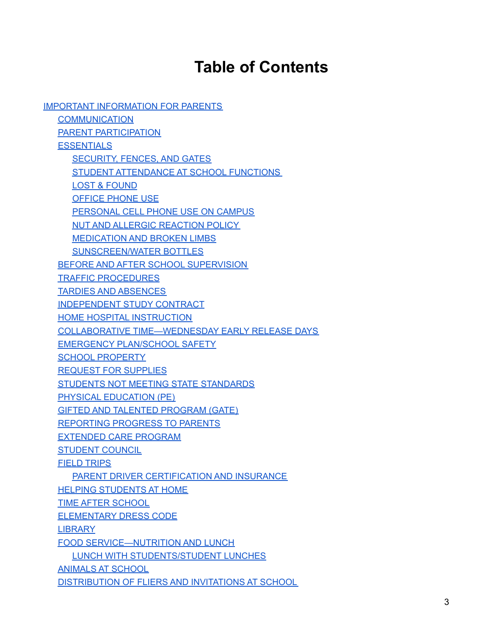## **Table of Contents**

IMPORTANT [INFORMATION](#page-5-0) FOR PARENTS **[COMMUNICATION](#page-5-1)** PARENT [PARTICIPATION](#page-5-2) **[ESSENTIALS](#page-5-3)** [SECURITY,](#page-5-4) FENCES, AND GATES STUDENT [ATTENDANCE](#page-6-0) AT SCHOOL FUNCTIONS LOST & [FOUND](#page-6-1) [OFFICE](#page-6-2) PHONE USE [PERSONAL](#page-6-3) CELL PHONE USE ON CAMPUS NUT AND ALLERGIC [REACTION](#page-7-0) POLICY [MEDICATION](#page-7-1) AND BROKEN LIMBS [SUNSCREEN/WATER](#page-7-2) BOTTLES BEFORE AND AFTER SCHOOL [SUPERVISION](#page-8-0) TRAFFIC [PROCEDURES](#page-8-1) TARDIES AND [ABSENCES](#page-9-0) [INDEPENDENT](#page-11-0) STUDY CONTRACT HOME HOSPITAL [INSTRUCTION](#page-11-1) COLLABORATIVE [TIME—WEDNESDAY](#page-12-0) EARLY RELEASE DAYS EMERGENCY [PLAN/SCHOOL](#page-12-1) SAFETY SCHOOL [PROPERTY](#page-12-2) REQUEST FOR [SUPPLIES](#page-13-0) STUDENTS NOT MEETING STATE [STANDARDS](#page-13-1) PHYSICAL [EDUCATION](#page-13-2) (PE) GIFTED AND TALENTED [PROGRAM](#page-13-3) (GATE) [REPORTING](#page-14-0) PROGRESS TO PARENTS [EXTENDED](#page-14-1) CARE PROGRAM [STUDENT](#page-14-2) COUNCIL FIELD [TRIPS](#page-14-3) PARENT DRIVER [CERTIFICATION](#page-15-0) AND INSURANCE **HELPING [STUDENTS](#page-15-1) AT HOME** TIME AFTER [SCHOOL](#page-16-0) [ELEMENTARY](#page-16-1) DRESS CODE **[LIBRARY](#page-17-0)** FOOD [SERVICE—NUTRITION](#page-17-1) AND LUNCH LUNCH WITH [STUDENTS/STUDENT](#page-18-0) LUNCHES [ANIMALS](#page-18-1) AT SCHOOL [DISTRIBUTION](#page-18-2) OF FLIERS AND INVITATIONS AT SCHOOL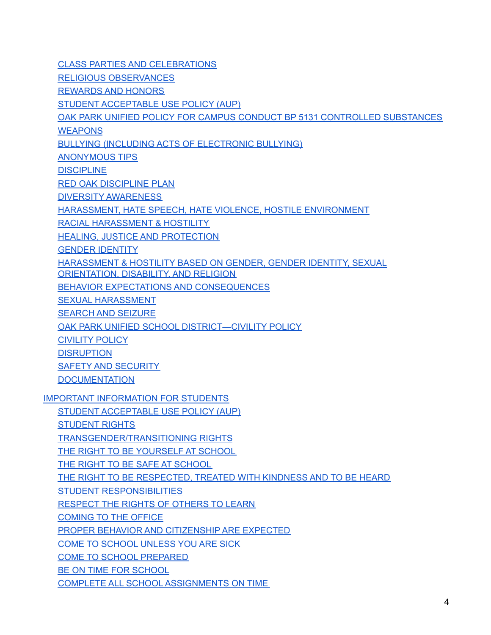CLASS PARTIES AND [CELEBRATIONS](#page-18-3) RELIGIOUS [OBSERVANCES](#page-19-0) [REWARDS](#page-19-1) AND HONORS STUDENT [ACCEPTABLE](#page-19-2) USE POLICY (AUP) OAK PARK UNIFIED POLICY FOR CAMPUS CONDUCT BP 5131 [CONTROLLED](#page-19-3) SUBSTANCES **[WEAPONS](#page-20-0)** BULLYING (INCLUDING ACTS OF [ELECTRONIC](#page-20-1) BULLYING) [ANONYMOUS](#page-21-0) TIPS **[DISCIPLINE](#page-21-1)** RED OAK [DISCIPLINE](#page-22-0) PLAN DIVERSITY [AWARENESS](#page-23-0) HARASSMENT, HATE SPEECH, HATE VIOLENCE, HOSTILE [ENVIRONMENT](#page-23-1) RACIAL [HARASSMENT](#page-23-2) & HOSTILITY HEALING, JUSTICE AND [PROTECTION](#page-24-0) GENDER [IDENTITY](#page-24-1) [HARASSMENT](#page-24-2) & HOSTILITY BASED ON GENDER, GENDER IDENTITY, SEXUAL [ORIENTATION,](#page-24-2) DISABILITY, AND RELIGION BEHAVIOR EXPECTATIONS AND [CONSEQUENCES](#page-25-0) SEXUAL [HARASSMENT](#page-25-1) SEARCH AND [SEIZURE](#page-26-0) OAK PARK UNIFIED SCHOOL [DISTRICT—CIVILITY](#page-26-1) POLICY [CIVILITY](#page-26-2) POLICY **[DISRUPTION](#page-27-0)** SAFETY AND [SECURITY](#page-27-1) **[DOCUMENTATION](#page-28-0)** IMPORTANT [INFORMATION](#page-28-1) FOR STUDENTS STUDENT [ACCEPTABLE](#page-28-2) USE POLICY (AUP) [STUDENT](#page-30-0) RIGHTS [TRANSGENDER/TRANSITIONING](#page-30-1) RIGHTS THE RIGHT TO BE [YOURSELF](#page-30-2) AT SCHOOL THE RIGHT TO BE SAFE AT [SCHOOL](#page-30-3) THE RIGHT TO BE [RESPECTED,](#page-30-4) TREATED WITH KINDNESS AND TO BE HEARD STUDENT [RESPONSIBILITIES](#page-30-5) [RESPECT](#page-31-0) THE RIGHTS OF OTHERS TO LEARN [COMING](#page-31-1) TO THE OFFICE PROPER BEHAVIOR AND [CITIZENSHIP](#page-31-2) ARE EXPECTED COME TO [SCHOOL](#page-31-3) UNLESS YOU ARE SICK COME TO SCHOOL [PREPARED](#page-31-4) BE ON TIME FOR [SCHOOL](#page-31-5) COMPLETE ALL SCHOOL [ASSIGNMENTS](#page-31-6) ON TIME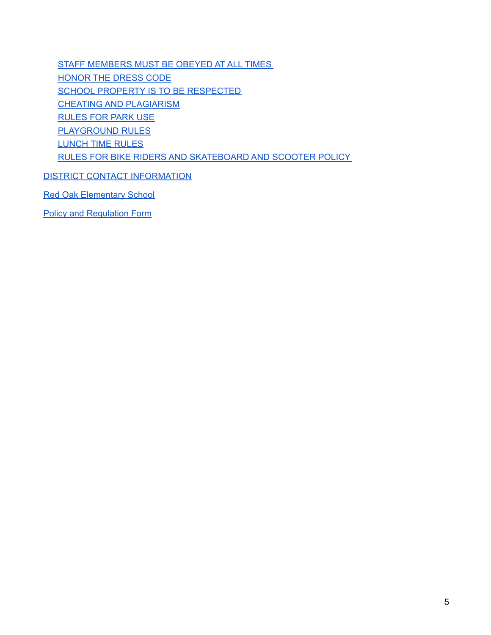STAFF [MEMBERS](#page-32-0) MUST BE OBEYED AT ALL TIMES [HONOR](#page-32-1) THE DRESS CODE SCHOOL PROPERTY IS TO BE [RESPECTED](#page-32-2) CHEATING AND [PLAGIARISM](#page-32-3) [RULES](#page-32-4) FOR PARK USE [PLAYGROUND](#page-32-5) RULES [LUNCH](#page-33-0) TIME RULES RULES FOR BIKE RIDERS AND [SKATEBOARD](#page-34-0) AND SCOOTER POLICY

DISTRICT CONTACT [INFORMATION](#page-35-0)

Red Oak [Elementary](#page-36-0) School

Policy and [Regulation](#page-36-1) Form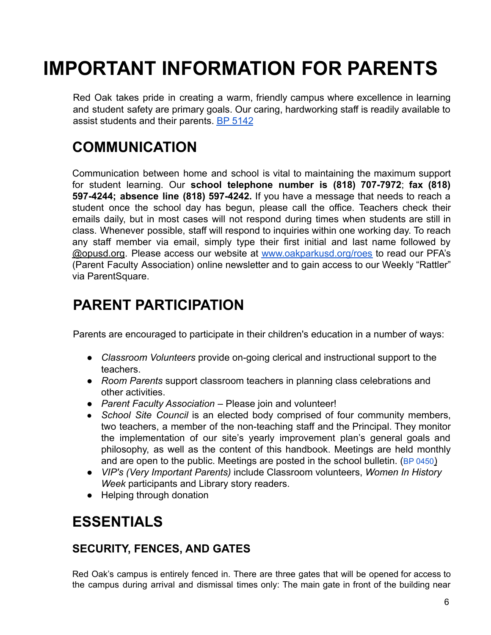# <span id="page-5-0"></span>**IMPORTANT INFORMATION FOR PARENTS**

Red Oak takes pride in creating a warm, friendly campus where excellence in learning and student safety are primary goals. Our caring, hardworking staff is readily available to assist students and their parents. BP 5142

### <span id="page-5-1"></span>**COMMUNICATION**

Communication between home and school is vital to maintaining the maximum support for student learning. Our **school telephone number is (818) 707-7972**; **fax (818) 597-4244; absence line (818) 597-4242.** If you have a message that needs to reach a student once the school day has begun, please call the office. Teachers check their emails daily, but in most cases will not respond during times when students are still in class. Whenever possible, staff will respond to inquiries within one working day. To reach any staff member via email, simply type their first initial and last name followed by @opusd.org. Please access our website at [www.oakparkusd.org/roes](http://www.oakparkusd.org/roes) to read our PFA's (Parent Faculty Association) online newsletter and to gain access to our Weekly "Rattler" via ParentSquare.

#### <span id="page-5-2"></span>**PARENT PARTICIPATION**

Parents are encouraged to participate in their children's education in a number of ways:

- *Classroom Volunteers* provide on-going clerical and instructional support to the teachers.
- *Room Parents* support classroom teachers in planning class celebrations and other activities.
- *Parent Faculty Association* Please join and volunteer!
- *School Site Council* is an elected body comprised of four community members, two teachers, a member of the non-teaching staff and the Principal. They monitor the implementation of our site's yearly improvement plan's general goals and philosophy, as well as the content of this handbook. Meetings are held monthly and are open to the public. Meetings are posted in the school bulletin. (BP 0450)
- *VIP's (Very Important Parents)* include Classroom volunteers, *Women In History Week* participants and Library story readers.
- Helping through donation

### <span id="page-5-3"></span>**ESSENTIALS**

#### <span id="page-5-4"></span>**SECURITY, FENCES, AND GATES**

Red Oak's campus is entirely fenced in. There are three gates that will be opened for access to the campus during arrival and dismissal times only: The main gate in front of the building near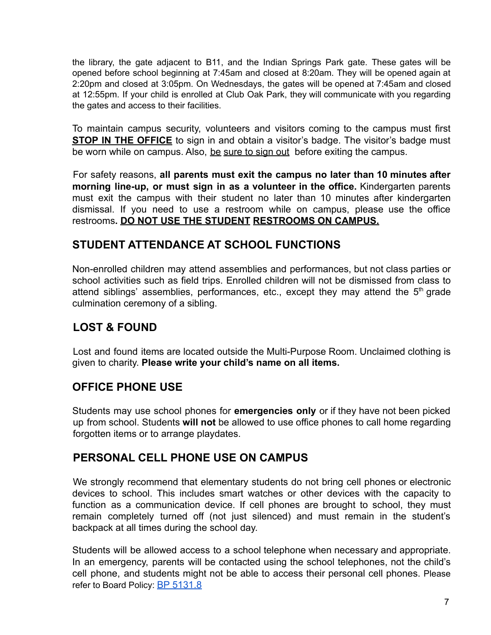the library, the gate adjacent to B11, and the Indian Springs Park gate. These gates will be opened before school beginning at 7:45am and closed at 8:20am. They will be opened again at 2:20pm and closed at 3:05pm. On Wednesdays, the gates will be opened at 7:45am and closed at 12:55pm. If your child is enrolled at Club Oak Park, they will communicate with you regarding the gates and access to their facilities.

To maintain campus security, volunteers and visitors coming to the campus must first **STOP IN THE OFFICE** to sign in and obtain a visitor's badge. The visitor's badge must be worn while on campus. Also, be sure to sign out before exiting the campus.

For safety reasons, **all parents must exit the campus no later than 10 minutes after morning line-up, or must sign in as a volunteer in the office.** Kindergarten parents must exit the campus with their student no later than 10 minutes after kindergarten dismissal. If you need to use a restroom while on campus, please use the office restrooms**. DO NOT USE THE STUDENT RESTROOMS ON CAMPUS.**

#### <span id="page-6-0"></span>**STUDENT ATTENDANCE AT SCHOOL FUNCTIONS**

Non-enrolled children may attend assemblies and performances, but not class parties or school activities such as field trips. Enrolled children will not be dismissed from class to attend siblings' assemblies, performances, etc., except they may attend the  $5<sup>th</sup>$  grade culmination ceremony of a sibling.

#### <span id="page-6-1"></span>**LOST & FOUND**

Lost and found items are located outside the Multi-Purpose Room. Unclaimed clothing is given to charity. **Please write your child's name on all items.**

#### <span id="page-6-2"></span>**OFFICE PHONE USE**

Students may use school phones for **emergencies only** or if they have not been picked up from school. Students **will not** be allowed to use office phones to call home regarding forgotten items or to arrange playdates.

#### <span id="page-6-3"></span>**PERSONAL CELL PHONE USE ON CAMPUS**

We strongly recommend that elementary students do not bring cell phones or electronic devices to school. This includes smart watches or other devices with the capacity to function as a communication device. If cell phones are brought to school, they must remain completely turned off (not just silenced) and must remain in the student's backpack at all times during the school day.

Students will be allowed access to a school telephone when necessary and appropriate. In an emergency, parents will be contacted using the school telephones, not the child's cell phone, and students might not be able to access their personal cell phones. Please refer to Board Policy: BP 5131.8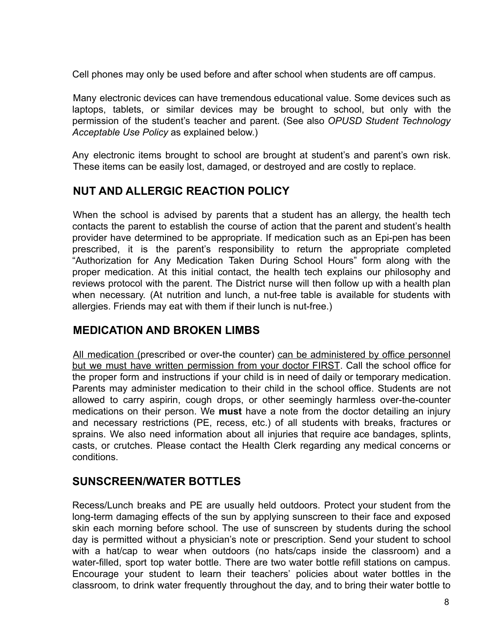Cell phones may only be used before and after school when students are off campus.

Many electronic devices can have tremendous educational value. Some devices such as laptops, tablets, or similar devices may be brought to school, but only with the permission of the student's teacher and parent. (See also *OPUSD Student Technology Acceptable Use Policy* as explained below.)

Any electronic items brought to school are brought at student's and parent's own risk. These items can be easily lost, damaged, or destroyed and are costly to replace.

#### <span id="page-7-0"></span>**NUT AND ALLERGIC REACTION POLICY**

When the school is advised by parents that a student has an allergy, the health tech contacts the parent to establish the course of action that the parent and student's health provider have determined to be appropriate. If medication such as an Epi-pen has been prescribed, it is the parent's responsibility to return the appropriate completed "Authorization for Any Medication Taken During School Hours" form along with the proper medication. At this initial contact, the health tech explains our philosophy and reviews protocol with the parent. The District nurse will then follow up with a health plan when necessary. (At nutrition and lunch, a nut-free table is available for students with allergies. Friends may eat with them if their lunch is nut-free.)

#### <span id="page-7-1"></span>**MEDICATION AND BROKEN LIMBS**

All medication (prescribed or over-the counter) can be administered by office personnel but we must have written permission from your doctor FIRST. Call the school office for the proper form and instructions if your child is in need of daily or temporary medication. Parents may administer medication to their child in the school office. Students are not allowed to carry aspirin, cough drops, or other seemingly harmless over-the-counter medications on their person. We **must** have a note from the doctor detailing an injury and necessary restrictions (PE, recess, etc.) of all students with breaks, fractures or sprains. We also need information about all injuries that require ace bandages, splints, casts, or crutches. Please contact the Health Clerk regarding any medical concerns or conditions.

#### <span id="page-7-2"></span>**SUNSCREEN/WATER BOTTLES**

Recess/Lunch breaks and PE are usually held outdoors. Protect your student from the long-term damaging effects of the sun by applying sunscreen to their face and exposed skin each morning before school. The use of sunscreen by students during the school day is permitted without a physician's note or prescription. Send your student to school with a hat/cap to wear when outdoors (no hats/caps inside the classroom) and a water-filled, sport top water bottle. There are two water bottle refill stations on campus. Encourage your student to learn their teachers' policies about water bottles in the classroom, to drink water frequently throughout the day, and to bring their water bottle to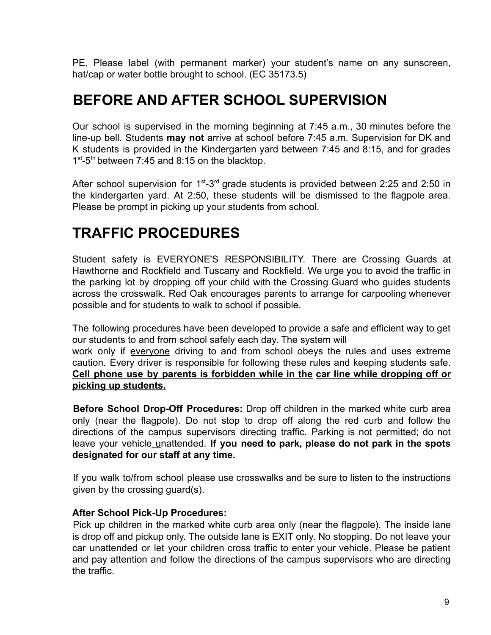PE. Please label (with permanent marker) your student's name on any sunscreen, hat/cap or water bottle brought to school. (EC 35173.5)

#### <span id="page-8-0"></span>**BEFORE AND AFTER SCHOOL SUPERVISION**

Our school is supervised in the morning beginning at 7:45 a.m., 30 minutes before the line-up bell. Students **may not** arrive at school before 7:45 a.m. Supervision for DK and K students is provided in the Kindergarten yard between 7:45 and 8:15, and for grades 1<sup>st</sup>-5<sup>th</sup> between 7:45 and 8:15 on the blacktop.

After school supervision for  $1<sup>st</sup>-3<sup>rd</sup>$  grade students is provided between 2:25 and 2:50 in the kindergarten yard. At 2:50, these students will be dismissed to the flagpole area. Please be prompt in picking up your students from school.

#### <span id="page-8-1"></span>**TRAFFIC PROCEDURES**

Student safety is EVERYONE'S RESPONSIBILITY. There are Crossing Guards at Hawthorne and Rockfield and Tuscany and Rockfield. We urge you to avoid the traffic in the parking lot by dropping off your child with the Crossing Guard who guides students across the crosswalk. Red Oak encourages parents to arrange for carpooling whenever possible and for students to walk to school if possible.

The following procedures have been developed to provide a safe and efficient way to get our students to and from school safely each day. The system will

work only if everyone driving to and from school obeys the rules and uses extreme caution. Every driver is responsible for following these rules and keeping students safe. **Cell phone use by parents is forbidden while in the car line while dropping off or picking up students.**

**Before School Drop-Off Procedures:** Drop off children in the marked white curb area only (near the flagpole). Do not stop to drop off along the red curb and follow the directions of the campus supervisors directing traffic. Parking is not permitted; do not leave your vehicle unattended. **If you need to park, please do not park in the spots designated for our staff at any time.**

If you walk to/from school please use crosswalks and be sure to listen to the instructions given by the crossing guard(s).

#### **After School Pick-Up Procedures:**

Pick up children in the marked white curb area only (near the flagpole). The inside lane is drop off and pickup only. The outside lane is EXIT only. No stopping. Do not leave your car unattended or let your children cross traffic to enter your vehicle. Please be patient and pay attention and follow the directions of the campus supervisors who are directing the traffic.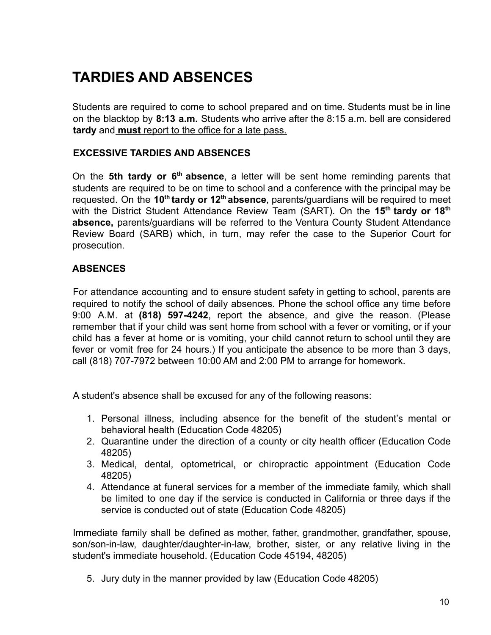# <span id="page-9-0"></span>**TARDIES AND ABSENCES**

Students are required to come to school prepared and on time. Students must be in line on the blacktop by **8:13 a.m.** Students who arrive after the 8:15 a.m. bell are considered **tardy** and **must** report to the office for a late pass.

#### **EXCESSIVE TARDIES AND ABSENCES**

On the 5th tardy or 6<sup>th</sup> absence, a letter will be sent home reminding parents that students are required to be on time to school and a conference with the principal may be requested. On the **10th tardy or 12th absence**, parents/guardians will be required to meet with the District Student Attendance Review Team (SART). On the **15th tardy or 18th absence,** parents/guardians will be referred to the Ventura County Student Attendance Review Board (SARB) which, in turn, may refer the case to the Superior Court for prosecution.

#### **ABSENCES**

For attendance accounting and to ensure student safety in getting to school, parents are required to notify the school of daily absences. Phone the school office any time before 9:00 A.M. at **(818) 597-4242**, report the absence, and give the reason. (Please remember that if your child was sent home from school with a fever or vomiting, or if your child has a fever at home or is vomiting, your child cannot return to school until they are fever or vomit free for 24 hours.) If you anticipate the absence to be more than 3 days, call (818) 707-7972 between 10:00 AM and 2:00 PM to arrange for homework.

A student's absence shall be excused for any of the following reasons:

- 1. Personal illness, including absence for the benefit of the student's mental or behavioral health (Education Code 48205)
- 2. Quarantine under the direction of a county or city health officer (Education Code 48205)
- 3. Medical, dental, optometrical, or chiropractic appointment (Education Code 48205)
- 4. Attendance at funeral services for a member of the immediate family, which shall be limited to one day if the service is conducted in California or three days if the service is conducted out of state (Education Code 48205)

Immediate family shall be defined as mother, father, grandmother, grandfather, spouse, son/son-in-law, daughter/daughter-in-law, brother, sister, or any relative living in the student's immediate household. (Education Code 45194, 48205)

5. Jury duty in the manner provided by law (Education Code 48205)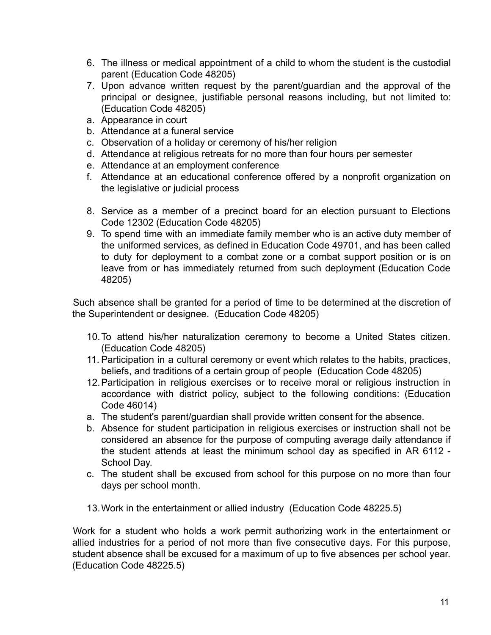- 6. The illness or medical appointment of a child to whom the student is the custodial parent (Education Code 48205)
- 7. Upon advance written request by the parent/guardian and the approval of the principal or designee, justifiable personal reasons including, but not limited to: (Education Code 48205)
- a. Appearance in court
- b. Attendance at a funeral service
- c. Observation of a holiday or ceremony of his/her religion
- d. Attendance at religious retreats for no more than four hours per semester
- e. Attendance at an employment conference
- f. Attendance at an educational conference offered by a nonprofit organization on the legislative or judicial process
- 8. Service as a member of a precinct board for an election pursuant to Elections Code 12302 (Education Code 48205)
- 9. To spend time with an immediate family member who is an active duty member of the uniformed services, as defined in Education Code 49701, and has been called to duty for deployment to a combat zone or a combat support position or is on leave from or has immediately returned from such deployment (Education Code 48205)

Such absence shall be granted for a period of time to be determined at the discretion of the Superintendent or designee. (Education Code 48205)

- 10.To attend his/her naturalization ceremony to become a United States citizen. (Education Code 48205)
- 11. Participation in a cultural ceremony or event which relates to the habits, practices, beliefs, and traditions of a certain group of people (Education Code 48205)
- 12.Participation in religious exercises or to receive moral or religious instruction in accordance with district policy, subject to the following conditions: (Education Code 46014)
- a. The student's parent/guardian shall provide written consent for the absence.
- b. Absence for student participation in religious exercises or instruction shall not be considered an absence for the purpose of computing average daily attendance if the student attends at least the minimum school day as specified in AR 6112 - School Day.
- c. The student shall be excused from school for this purpose on no more than four days per school month.
- 13.Work in the entertainment or allied industry (Education Code 48225.5)

Work for a student who holds a work permit authorizing work in the entertainment or allied industries for a period of not more than five consecutive days. For this purpose, student absence shall be excused for a maximum of up to five absences per school year. (Education Code 48225.5)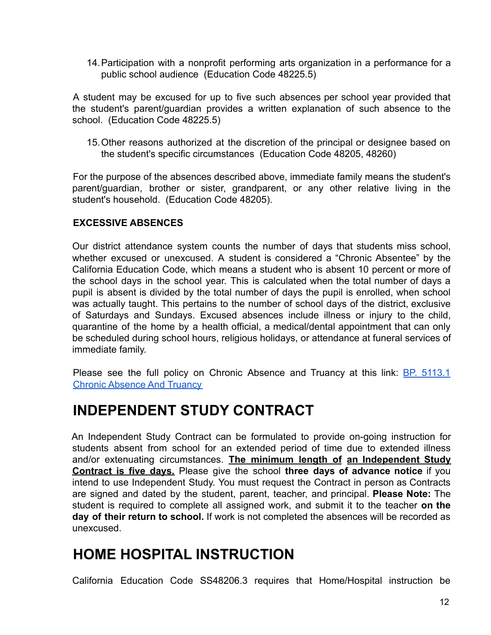14.Participation with a nonprofit performing arts organization in a performance for a public school audience (Education Code 48225.5)

A student may be excused for up to five such absences per school year provided that the student's parent/guardian provides a written explanation of such absence to the school. (Education Code 48225.5)

15.Other reasons authorized at the discretion of the principal or designee based on the student's specific circumstances (Education Code 48205, 48260)

For the purpose of the absences described above, immediate family means the student's parent/guardian, brother or sister, grandparent, or any other relative living in the student's household. (Education Code 48205).

#### **EXCESSIVE ABSENCES**

Our district attendance system counts the number of days that students miss school, whether excused or unexcused. A student is considered a "Chronic Absentee" by the California Education Code, which means a student who is absent 10 percent or more of the school days in the school year. This is calculated when the total number of days a pupil is absent is divided by the total number of days the pupil is enrolled, when school was actually taught. This pertains to the number of school days of the district, exclusive of Saturdays and Sundays. Excused absences include illness or injury to the child, quarantine of the home by a health official, a medical/dental appointment that can only be scheduled during school hours, religious holidays, or attendance at funeral services of immediate family.

Please see the full policy on Chronic Absence and Truancy at this link: BP. [5113.1](https://www.oakparkusd.org/cms/lib/CA01000794/Centricity/domain/1222/policies%205000%20series%20-%20students/BP5113.1%20Chronic%20Absence%20and%20Truancy%20updated%2011-14-17.pdf) [Chronic Absence And Truancy](https://www.oakparkusd.org/cms/lib/CA01000794/Centricity/domain/1222/policies%205000%20series%20-%20students/BP5113.1%20Chronic%20Absence%20and%20Truancy%20updated%2011-14-17.pdf)

#### <span id="page-11-0"></span>**INDEPENDENT STUDY CONTRACT**

An Independent Study Contract can be formulated to provide on-going instruction for students absent from school for an extended period of time due to extended illness and/or extenuating circumstances. **The minimum length of an Independent Study Contract is five days.** Please give the school **three days of advance notice** if you intend to use Independent Study. You must request the Contract in person as Contracts are signed and dated by the student, parent, teacher, and principal. **Please Note:** The student is required to complete all assigned work, and submit it to the teacher **on the day of their return to school.** If work is not completed the absences will be recorded as unexcused.

#### <span id="page-11-1"></span>**HOME HOSPITAL INSTRUCTION**

California Education Code SS48206.3 requires that Home/Hospital instruction be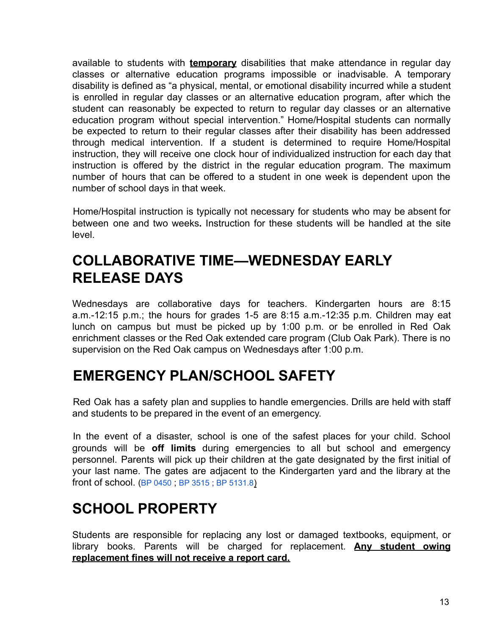available to students with **temporary** disabilities that make attendance in regular day classes or alternative education programs impossible or inadvisable. A temporary disability is defined as "a physical, mental, or emotional disability incurred while a student is enrolled in regular day classes or an alternative education program, after which the student can reasonably be expected to return to regular day classes or an alternative education program without special intervention." Home/Hospital students can normally be expected to return to their regular classes after their disability has been addressed through medical intervention. If a student is determined to require Home/Hospital instruction, they will receive one clock hour of individualized instruction for each day that instruction is offered by the district in the regular education program. The maximum number of hours that can be offered to a student in one week is dependent upon the number of school days in that week.

Home/Hospital instruction is typically not necessary for students who may be absent for between one and two weeks**.** Instruction for these students will be handled at the site level.

### <span id="page-12-0"></span>**COLLABORATIVE TIME—WEDNESDAY EARLY RELEASE DAYS**

Wednesdays are collaborative days for teachers. Kindergarten hours are 8:15 a.m.-12:15 p.m.; the hours for grades 1-5 are 8:15 a.m.-12:35 p.m. Children may eat lunch on campus but must be picked up by 1:00 p.m. or be enrolled in Red Oak enrichment classes or the Red Oak extended care program (Club Oak Park). There is no supervision on the Red Oak campus on Wednesdays after 1:00 p.m.

### <span id="page-12-1"></span>**EMERGENCY PLAN/SCHOOL SAFETY**

Red Oak has a safety plan and supplies to handle emergencies. Drills are held with staff and students to be prepared in the event of an emergency.

In the event of a disaster, school is one of the safest places for your child. School grounds will be **off limits** during emergencies to all but school and emergency personnel. Parents will pick up their children at the gate designated by the first initial of your last name. The gates are adjacent to the Kindergarten yard and the library at the front of school. (BP 0450 ; BP 3515 ; BP 5131.8)

### <span id="page-12-2"></span>**SCHOOL PROPERTY**

Students are responsible for replacing any lost or damaged textbooks, equipment, or library books. Parents will be charged for replacement. **Any student owing replacement fines will not receive a report card.**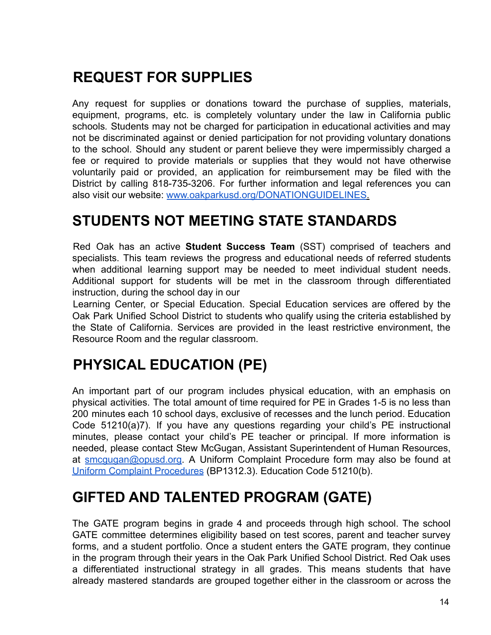## <span id="page-13-0"></span>**REQUEST FOR SUPPLIES**

Any request for supplies or donations toward the purchase of supplies, materials, equipment, programs, etc. is completely voluntary under the law in California public schools*.* Students may not be charged for participation in educational activities and may not be discriminated against or denied participation for not providing voluntary donations to the school. Should any student or parent believe they were impermissibly charged a fee or required to provide materials or supplies that they would not have otherwise voluntarily paid or provided, an application for reimbursement may be filed with the District by calling 818-735-3206. For further information and legal references you can also visit our website: [www.oakparkusd.org/DONATIONGUIDELINES](http://www.oakparkusd.org/DONATIONGUIDELINES).

#### <span id="page-13-1"></span>**STUDENTS NOT MEETING STATE STANDARDS**

Red Oak has an active **Student Success Team** (SST) comprised of teachers and specialists. This team reviews the progress and educational needs of referred students when additional learning support may be needed to meet individual student needs. Additional support for students will be met in the classroom through differentiated instruction, during the school day in our

Learning Center, or Special Education. Special Education services are offered by the Oak Park Unified School District to students who qualify using the criteria established by the State of California. Services are provided in the least restrictive environment, the Resource Room and the regular classroom.

#### <span id="page-13-2"></span>**PHYSICAL EDUCATION (PE)**

An important part of our program includes physical education, with an emphasis on physical activities. The total amount of time required for PE in Grades 1-5 is no less than 200 minutes each 10 school days, exclusive of recesses and the lunch period. Education Code 51210(a)7). If you have any questions regarding your child's PE instructional minutes, please contact your child's PE teacher or principal. If more information is needed, please contact Stew McGugan, Assistant Superintendent of Human Resources, at smcgugan@opusd.org. A Uniform Complaint Procedure form may also be found at [Uniform Complaint](https://www.oakparkusd.org/domain/1354) Procedures (BP1312.3). Education Code 51210(b).

#### <span id="page-13-3"></span>**GIFTED AND TALENTED PROGRAM (GATE)**

The GATE program begins in grade 4 and proceeds through high school. The school GATE committee determines eligibility based on test scores, parent and teacher survey forms, and a student portfolio. Once a student enters the GATE program, they continue in the program through their years in the Oak Park Unified School District. Red Oak uses a differentiated instructional strategy in all grades. This means students that have already mastered standards are grouped together either in the classroom or across the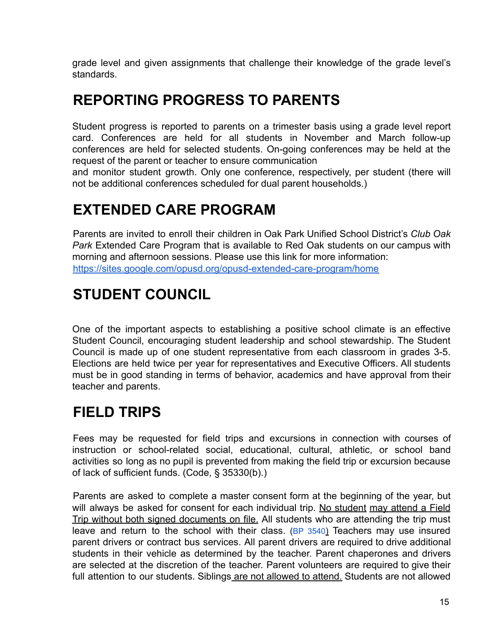grade level and given assignments that challenge their knowledge of the grade level's standards.

#### <span id="page-14-0"></span>**REPORTING PROGRESS TO PARENTS**

Student progress is reported to parents on a trimester basis using a grade level report card. Conferences are held for all students in November and March follow-up conferences are held for selected students. On-going conferences may be held at the request of the parent or teacher to ensure communication

and monitor student growth. Only one conference, respectively, per student (there will not be additional conferences scheduled for dual parent households.)

# <span id="page-14-1"></span>**EXTENDED CARE PROGRAM**

Parents are invited to enroll their children in Oak Park Unified School District's *Club Oak Park* Extended Care Program that is available to Red Oak students on our campus with morning and afternoon sessions. Please use this link for more information: <https://sites.google.com/opusd.org/opusd-extended-care-program/home>

### <span id="page-14-2"></span>**STUDENT COUNCIL**

One of the important aspects to establishing a positive school climate is an effective Student Council, encouraging student leadership and school stewardship. The Student Council is made up of one student representative from each classroom in grades 3-5. Elections are held twice per year for representatives and Executive Officers. All students must be in good standing in terms of behavior, academics and have approval from their teacher and parents.

### <span id="page-14-3"></span>**FIELD TRIPS**

Fees may be requested for field trips and excursions in connection with courses of instruction or school-related social, educational, cultural, athletic, or school band activities so long as no pupil is prevented from making the field trip or excursion because of lack of sufficient funds. (Code, § 35330(b).)

Parents are asked to complete a master consent form at the beginning of the year, but will always be asked for consent for each individual trip. No student may attend a Field Trip without both signed documents on file. All students who are attending the trip must leave and return to the school with their class.  $(BP 3540)$  Teachers may use insured parent drivers or contract bus services. All parent drivers are required to drive additional students in their vehicle as determined by the teacher. Parent chaperones and drivers are selected at the discretion of the teacher. Parent volunteers are required to give their full attention to our students. Siblings are not allowed to attend. Students are not allowed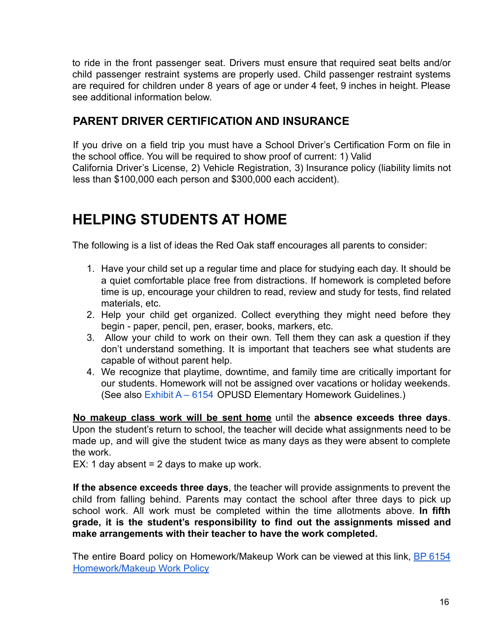to ride in the front passenger seat. Drivers must ensure that required seat belts and/or child passenger restraint systems are properly used. Child passenger restraint systems are required for children under 8 years of age or under 4 feet, 9 inches in height. Please see additional information below.

#### <span id="page-15-0"></span>**PARENT DRIVER CERTIFICATION AND INSURANCE**

If you drive on a field trip you must have a School Driver's Certification Form on file in the school office. You will be required to show proof of current: 1) Valid California Driver's License, 2) Vehicle Registration, 3) Insurance policy (liability limits not less than \$100,000 each person and \$300,000 each accident).

#### <span id="page-15-1"></span>**HELPING STUDENTS AT HOME**

The following is a list of ideas the Red Oak staff encourages all parents to consider:

- 1. Have your child set up a regular time and place for studying each day. It should be a quiet comfortable place free from distractions. If homework is completed before time is up, encourage your children to read, review and study for tests, find related materials, etc.
- 2. Help your child get organized. Collect everything they might need before they begin - paper, pencil, pen, eraser, books, markers, etc.
- 3. Allow your child to work on their own. Tell them they can ask a question if they don't understand something. It is important that teachers see what students are capable of without parent help.
- 4. We recognize that playtime, downtime, and family time are critically important for our students. Homework will not be assigned over vacations or holiday weekends. (See also Exhibit A – 6154 OPUSD Elementary Homework Guidelines.)

**No makeup class work will be sent home** until the **absence exceeds three days**. Upon the student's return to school, the teacher will decide what assignments need to be made up, and will give the student twice as many days as they were absent to complete the work.

EX: 1 day absent  $= 2$  days to make up work.

**If the absence exceeds three days**, the teacher will provide assignments to prevent the child from falling behind. Parents may contact the school after three days to pick up school work. All work must be completed within the time allotments above. **In fifth grade, it is the student's responsibility to find out the assignments missed and make arrangements with their teacher to have the work completed.**

The entire Board policy on Homework/Makeup Work can be viewed at this link, BP [6154](https://www.oakparkusd.org/cms/lib/CA01000794/Centricity/domain/1222/policies%206000%20series%20-%20instruction/BP6154%20%20Homework%20and%20Make%20Up%20Work%20updated%204_17_2018.pdf) [Homework/Makeup Work Policy](https://www.oakparkusd.org/cms/lib/CA01000794/Centricity/domain/1222/policies%206000%20series%20-%20instruction/BP6154%20%20Homework%20and%20Make%20Up%20Work%20updated%204_17_2018.pdf)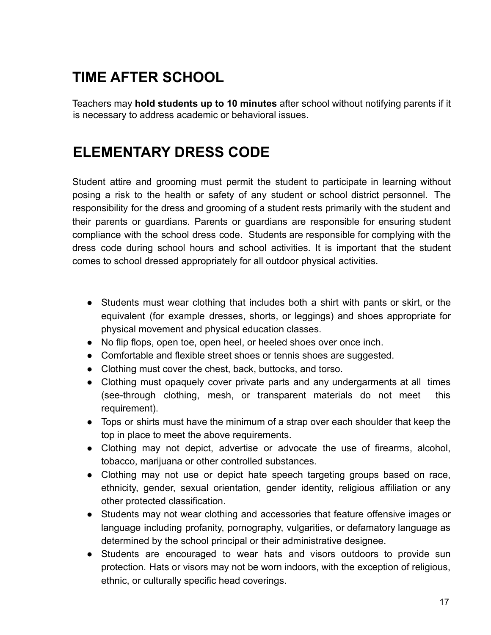# <span id="page-16-0"></span>**TIME AFTER SCHOOL**

Teachers may **hold students up to 10 minutes** after school without notifying parents if it is necessary to address academic or behavioral issues.

#### <span id="page-16-1"></span>**ELEMENTARY DRESS CODE**

Student attire and grooming must permit the student to participate in learning without posing a risk to the health or safety of any student or school district personnel. The responsibility for the dress and grooming of a student rests primarily with the student and their parents or guardians. Parents or guardians are responsible for ensuring student compliance with the school dress code. Students are responsible for complying with the dress code during school hours and school activities. It is important that the student comes to school dressed appropriately for all outdoor physical activities.

- Students must wear clothing that includes both a shirt with pants or skirt, or the equivalent (for example dresses, shorts, or leggings) and shoes appropriate for physical movement and physical education classes.
- No flip flops, open toe, open heel, or heeled shoes over once inch.
- Comfortable and flexible street shoes or tennis shoes are suggested.
- Clothing must cover the chest, back, buttocks, and torso.
- Clothing must opaquely cover private parts and any undergarments at all times (see-through clothing, mesh, or transparent materials do not meet this requirement).
- Tops or shirts must have the minimum of a strap over each shoulder that keep the top in place to meet the above requirements.
- Clothing may not depict, advertise or advocate the use of firearms, alcohol, tobacco, marijuana or other controlled substances.
- Clothing may not use or depict hate speech targeting groups based on race, ethnicity, gender, sexual orientation, gender identity, religious affiliation or any other protected classification.
- Students may not wear clothing and accessories that feature offensive images or language including profanity, pornography, vulgarities, or defamatory language as determined by the school principal or their administrative designee.
- Students are encouraged to wear hats and visors outdoors to provide sun protection. Hats or visors may not be worn indoors, with the exception of religious, ethnic, or culturally specific head coverings.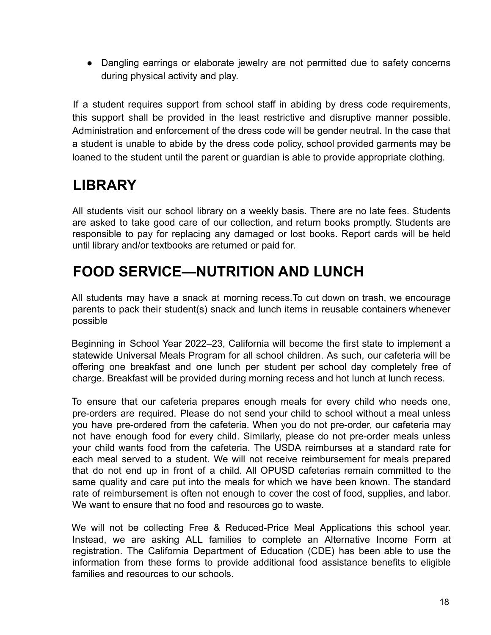● Dangling earrings or elaborate jewelry are not permitted due to safety concerns during physical activity and play.

If a student requires support from school staff in abiding by dress code requirements, this support shall be provided in the least restrictive and disruptive manner possible. Administration and enforcement of the dress code will be gender neutral. In the case that a student is unable to abide by the dress code policy, school provided garments may be loaned to the student until the parent or guardian is able to provide appropriate clothing.

# <span id="page-17-0"></span>**LIBRARY**

All students visit our school library on a weekly basis. There are no late fees. Students are asked to take good care of our collection, and return books promptly. Students are responsible to pay for replacing any damaged or lost books. Report cards will be held until library and/or textbooks are returned or paid for.

#### <span id="page-17-1"></span>**FOOD SERVICE—NUTRITION AND LUNCH**

All students may have a snack at morning recess.To cut down on trash, we encourage parents to pack their student(s) snack and lunch items in reusable containers whenever possible

Beginning in School Year 2022–23, California will become the first state to implement a statewide Universal Meals Program for all school children. As such, our cafeteria will be offering one breakfast and one lunch per student per school day completely free of charge. Breakfast will be provided during morning recess and hot lunch at lunch recess.

To ensure that our cafeteria prepares enough meals for every child who needs one, pre-orders are required. Please do not send your child to school without a meal unless you have pre-ordered from the cafeteria. When you do not pre-order, our cafeteria may not have enough food for every child. Similarly, please do not pre-order meals unless your child wants food from the cafeteria. The USDA reimburses at a standard rate for each meal served to a student. We will not receive reimbursement for meals prepared that do not end up in front of a child. All OPUSD cafeterias remain committed to the same quality and care put into the meals for which we have been known. The standard rate of reimbursement is often not enough to cover the cost of food, supplies, and labor. We want to ensure that no food and resources go to waste.

We will not be collecting Free & Reduced-Price Meal Applications this school year. Instead, we are asking ALL families to complete an Alternative Income Form at registration. The California Department of Education (CDE) has been able to use the information from these forms to provide additional food assistance benefits to eligible families and resources to our schools.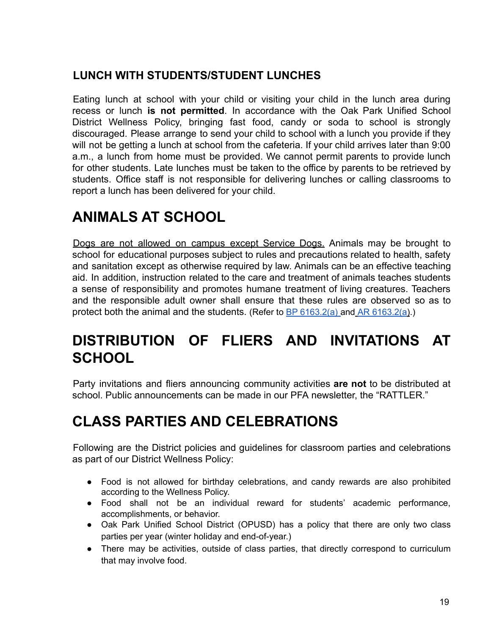#### <span id="page-18-0"></span>**LUNCH WITH STUDENTS/STUDENT LUNCHES**

Eating lunch at school with your child or visiting your child in the lunch area during recess or lunch **is not permitted**. In accordance with the Oak Park Unified School District Wellness Policy, bringing fast food, candy or soda to school is strongly discouraged. Please arrange to send your child to school with a lunch you provide if they will not be getting a lunch at school from the cafeteria. If your child arrives later than 9:00 a.m., a lunch from home must be provided. We cannot permit parents to provide lunch for other students. Late lunches must be taken to the office by parents to be retrieved by students. Office staff is not responsible for delivering lunches or calling classrooms to report a lunch has been delivered for your child.

### <span id="page-18-1"></span>**ANIMALS AT SCHOOL**

Dogs are not allowed on campus except Service Dogs. Animals may be brought to school for educational purposes subject to rules and precautions related to health, safety and sanitation except as otherwise required by law. Animals can be an effective teaching aid. In addition, instruction related to the care and treatment of animals teaches students a sense of responsibility and promotes humane treatment of living creatures. Teachers and the responsible adult owner shall ensure that these rules are observed so as to protect both the animal and the students. (Refer to BP  $6163.2(a)$  and AR  $6163.2(a)$ .)

#### <span id="page-18-2"></span>**DISTRIBUTION OF FLIERS AND INVITATIONS AT SCHOOL**

Party invitations and fliers announcing community activities **are not** to be distributed at school. Public announcements can be made in our PFA newsletter, the "RATTLER."

### <span id="page-18-3"></span>**CLASS PARTIES AND CELEBRATIONS**

Following are the District policies and guidelines for classroom parties and celebrations as part of our District Wellness Policy:

- Food is not allowed for birthday celebrations, and candy rewards are also prohibited according to the Wellness Policy.
- Food shall not be an individual reward for students' academic performance, accomplishments, or behavior.
- Oak Park Unified School District (OPUSD) has a policy that there are only two class parties per year (winter holiday and end-of-year.)
- There may be activities, outside of class parties, that directly correspond to curriculum that may involve food.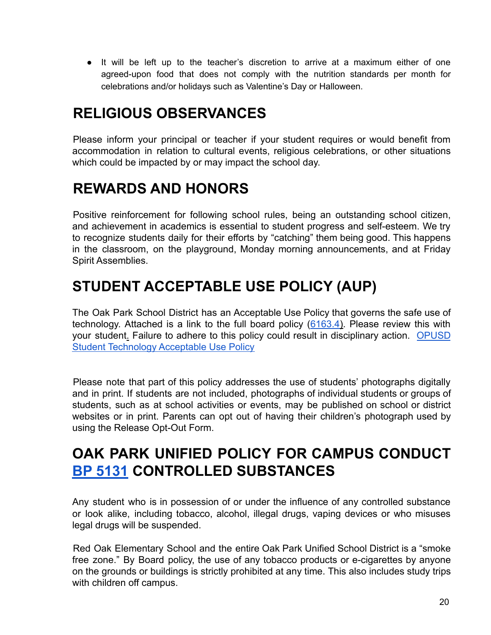● It will be left up to the teacher's discretion to arrive at a maximum either of one agreed-upon food that does not comply with the nutrition standards per month for celebrations and/or holidays such as Valentine's Day or Halloween.

#### <span id="page-19-0"></span>**RELIGIOUS OBSERVANCES**

Please inform your principal or teacher if your student requires or would benefit from accommodation in relation to cultural events, religious celebrations, or other situations which could be impacted by or may impact the school day.

#### <span id="page-19-1"></span>**REWARDS AND HONORS**

Positive reinforcement for following school rules, being an outstanding school citizen, and achievement in academics is essential to student progress and self-esteem. We try to recognize students daily for their efforts by "catching" them being good. This happens in the classroom, on the playground, Monday morning announcements, and at Friday Spirit Assemblies.

### <span id="page-19-2"></span>**STUDENT ACCEPTABLE USE POLICY (AUP)**

The Oak Park School District has an Acceptable Use Policy that governs the safe use of technology. Attached is a link to the full board policy  $(6163.4)$ . Please review this with your student. Failure to adhere to this policy could result in disciplinary action. [OPUSD](https://www.oakparkusd.org/cms/lib5/CA01000794/Centricity/domain/249/2015%20registration/04%20OPUSD%20Student%20Technology%20Acceptable%20Use%20Policy%2020150623.pdf) [Student Technology Acceptable Use Policy](https://www.oakparkusd.org/cms/lib5/CA01000794/Centricity/domain/249/2015%20registration/04%20OPUSD%20Student%20Technology%20Acceptable%20Use%20Policy%2020150623.pdf)

Please note that part of this policy addresses the use of students' photographs digitally and in print. If students are not included, photographs of individual students or groups of students, such as at school activities or events, may be published on school or district websites or in print. Parents can opt out of having their children's photograph used by using the Release Opt-Out Form.

#### <span id="page-19-3"></span>**OAK PARK UNIFIED POLICY FOR CAMPUS CONDUCT BP 5131 CONTROLLED SUBSTANCES**

Any student who is in possession of or under the influence of any controlled substance or look alike, including tobacco, alcohol, illegal drugs, vaping devices or who misuses legal drugs will be suspended.

Red Oak Elementary School and the entire Oak Park Unified School District is a "smoke free zone." By Board policy, the use of any tobacco products or e-cigarettes by anyone on the grounds or buildings is strictly prohibited at any time. This also includes study trips with children off campus.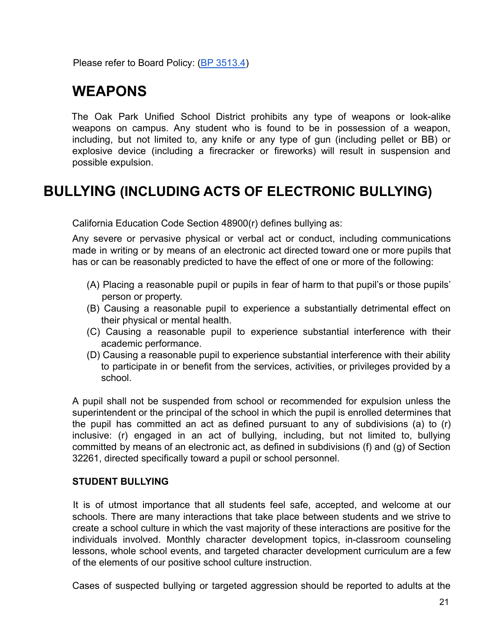<span id="page-20-0"></span>Please refer to Board Policy: (BP 3513.4)

#### **WEAPONS**

The Oak Park Unified School District prohibits any type of weapons or look-alike weapons on campus. Any student who is found to be in possession of a weapon, including, but not limited to, any knife or any type of gun (including pellet or BB) or explosive device (including a firecracker or fireworks) will result in suspension and possible expulsion.

#### <span id="page-20-1"></span>**BULLYING (INCLUDING ACTS OF ELECTRONIC BULLYING)**

California Education Code Section 48900(r) defines bullying as:

Any severe or pervasive physical or verbal act or conduct, including communications made in writing or by means of an electronic act directed toward one or more pupils that has or can be reasonably predicted to have the effect of one or more of the following:

- (A) Placing a reasonable pupil or pupils in fear of harm to that pupil's or those pupils' person or property.
- (B) Causing a reasonable pupil to experience a substantially detrimental effect on their physical or mental health.
- (C) Causing a reasonable pupil to experience substantial interference with their academic performance.
- (D) Causing a reasonable pupil to experience substantial interference with their ability to participate in or benefit from the services, activities, or privileges provided by a school.

A pupil shall not be suspended from school or recommended for expulsion unless the superintendent or the principal of the school in which the pupil is enrolled determines that the pupil has committed an act as defined pursuant to any of subdivisions (a) to (r) inclusive: (r) engaged in an act of bullying, including, but not limited to, bullying committed by means of an electronic act, as defined in subdivisions (f) and (g) of Section 32261, directed specifically toward a pupil or school personnel.

#### **STUDENT BULLYING**

It is of utmost importance that all students feel safe, accepted, and welcome at our schools. There are many interactions that take place between students and we strive to create a school culture in which the vast majority of these interactions are positive for the individuals involved. Monthly character development topics, in-classroom counseling lessons, whole school events, and targeted character development curriculum are a few of the elements of our positive school culture instruction.

Cases of suspected bullying or targeted aggression should be reported to adults at the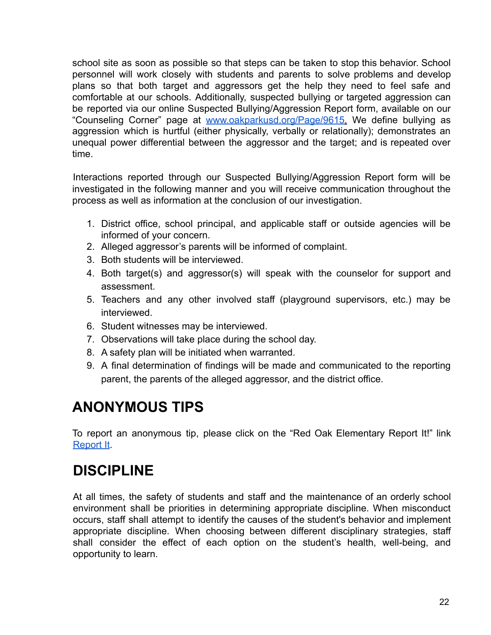school site as soon as possible so that steps can be taken to stop this behavior. School personnel will work closely with students and parents to solve problems and develop plans so that both target and aggressors get the help they need to feel safe and comfortable at our schools. Additionally, suspected bullying or targeted aggression can be reported via our online Suspected Bullying/Aggression Report form, available on our "Counseling Corner" page at [www.oakparkusd.org/Page/9615.](http://www.oakparkusd.org/Page/9615) We define bullying as aggression which is hurtful (either physically, verbally or relationally); demonstrates an unequal power differential between the aggressor and the target; and is repeated over time.

Interactions reported through our Suspected Bullying/Aggression Report form will be investigated in the following manner and you will receive communication throughout the process as well as information at the conclusion of our investigation.

- 1. District office, school principal, and applicable staff or outside agencies will be informed of your concern.
- 2. Alleged aggressor's parents will be informed of complaint.
- 3. Both students will be interviewed.
- 4. Both target(s) and aggressor(s) will speak with the counselor for support and assessment.
- 5. Teachers and any other involved staff (playground supervisors, etc.) may be interviewed.
- 6. Student witnesses may be interviewed.
- 7. Observations will take place during the school day.
- 8. A safety plan will be initiated when warranted.
- 9. A final determination of findings will be made and communicated to the reporting parent, the parents of the alleged aggressor, and the district office.

### <span id="page-21-0"></span>**ANONYMOUS TIPS**

To report an anonymous tip, please click on the "Red Oak Elementary Report It!" link [Report It](https://www.oakparkusd.org/site/default.aspx?PageType=3&DomainID=488&ModuleInstanceID=10912&ViewID=6446EE88-D30C-497E-9316-3F8874B3E108&RenderLoc=0&FlexDataID=13943&PageID=3526).

#### <span id="page-21-1"></span>**DISCIPLINE**

At all times, the safety of students and staff and the maintenance of an orderly school environment shall be priorities in determining appropriate discipline. When misconduct occurs, staff shall attempt to identify the causes of the student's behavior and implement appropriate discipline. When choosing between different disciplinary strategies, staff shall consider the effect of each option on the student's health, well-being, and opportunity to learn.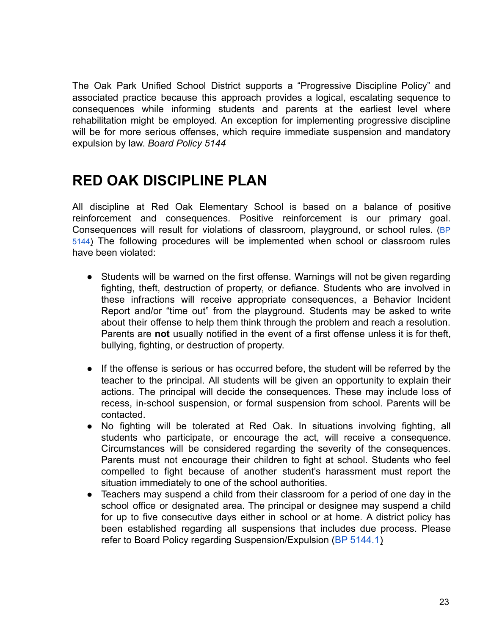The Oak Park Unified School District supports a "Progressive Discipline Policy" and associated practice because this approach provides a logical, escalating sequence to consequences while informing students and parents at the earliest level where rehabilitation might be employed. An exception for implementing progressive discipline will be for more serious offenses, which require immediate suspension and mandatory expulsion by law. *Board Policy 5144*

#### <span id="page-22-0"></span>**RED OAK DISCIPLINE PLAN**

All discipline at Red Oak Elementary School is based on a balance of positive reinforcement and consequences. Positive reinforcement is our primary goal. Consequences will result for violations of classroom, playground, or school rules. (BP 5144) The following procedures will be implemented when school or classroom rules have been violated:

- Students will be warned on the first offense. Warnings will not be given regarding fighting, theft, destruction of property, or defiance. Students who are involved in these infractions will receive appropriate consequences, a Behavior Incident Report and/or "time out" from the playground. Students may be asked to write about their offense to help them think through the problem and reach a resolution. Parents are **not** usually notified in the event of a first offense unless it is for theft, bullying, fighting, or destruction of property.
- If the offense is serious or has occurred before, the student will be referred by the teacher to the principal. All students will be given an opportunity to explain their actions. The principal will decide the consequences. These may include loss of recess, in-school suspension, or formal suspension from school. Parents will be contacted.
- No fighting will be tolerated at Red Oak. In situations involving fighting, all students who participate, or encourage the act, will receive a consequence. Circumstances will be considered regarding the severity of the consequences. Parents must not encourage their children to fight at school. Students who feel compelled to fight because of another student's harassment must report the situation immediately to one of the school authorities.
- Teachers may suspend a child from their classroom for a period of one day in the school office or designated area. The principal or designee may suspend a child for up to five consecutive days either in school or at home. A district policy has been established regarding all suspensions that includes due process. Please refer to Board Policy regarding Suspension/Expulsion (BP 5144.1)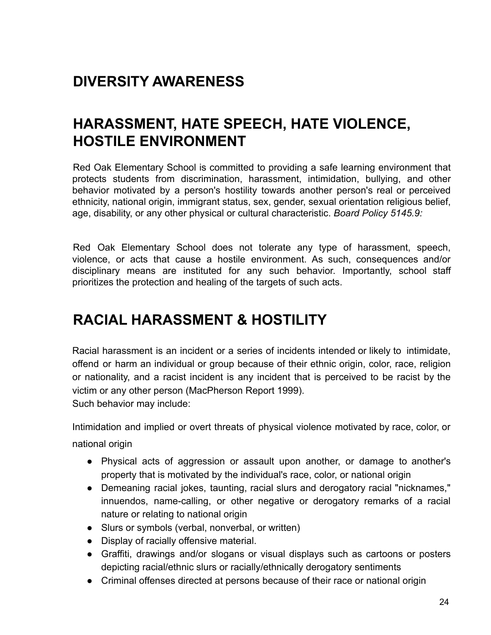#### <span id="page-23-0"></span>**DIVERSITY AWARENESS**

#### <span id="page-23-1"></span>**HARASSMENT, HATE SPEECH, HATE VIOLENCE, HOSTILE ENVIRONMENT**

Red Oak Elementary School is committed to providing a safe learning environment that protects students from discrimination, harassment, intimidation, bullying, and other behavior motivated by a person's hostility towards another person's real or perceived ethnicity, national origin, immigrant status, sex, gender, sexual orientation religious belief, age, disability, or any other physical or cultural characteristic. *Board Policy 5145.9:*

Red Oak Elementary School does not tolerate any type of harassment, speech, violence, or acts that cause a hostile environment. As such, consequences and/or disciplinary means are instituted for any such behavior. Importantly, school staff prioritizes the protection and healing of the targets of such acts.

#### <span id="page-23-2"></span>**RACIAL HARASSMENT & HOSTILITY**

Racial harassment is an incident or a series of incidents intended or likely to intimidate, offend or harm an individual or group because of their ethnic origin, color, race, religion or nationality, and a racist incident is any incident that is perceived to be racist by the victim or any other person (MacPherson Report 1999). Such behavior may include:

Intimidation and implied or overt threats of physical violence motivated by race, color, or national origin

- Physical acts of aggression or assault upon another, or damage to another's property that is motivated by the individual's race, color, or national origin
- Demeaning racial jokes, taunting, racial slurs and derogatory racial "nicknames," innuendos, name-calling, or other negative or derogatory remarks of a racial nature or relating to national origin
- Slurs or symbols (verbal, nonverbal, or written)
- Display of racially offensive material.
- Graffiti, drawings and/or slogans or visual displays such as cartoons or posters depicting racial/ethnic slurs or racially/ethnically derogatory sentiments
- Criminal offenses directed at persons because of their race or national origin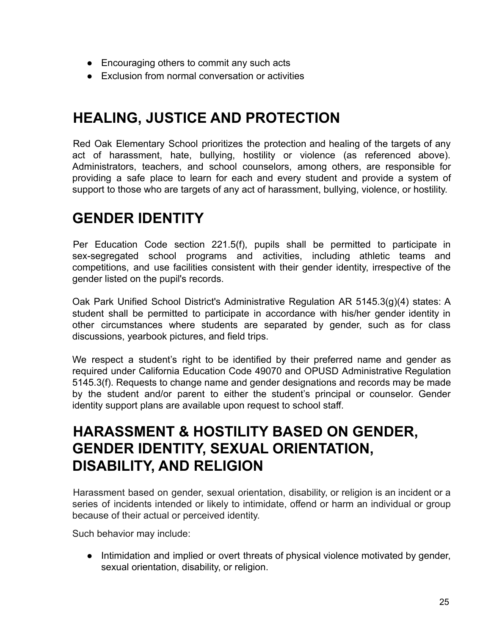- Encouraging others to commit any such acts
- Exclusion from normal conversation or activities

#### <span id="page-24-0"></span>**HEALING, JUSTICE AND PROTECTION**

Red Oak Elementary School prioritizes the protection and healing of the targets of any act of harassment, hate, bullying, hostility or violence (as referenced above). Administrators, teachers, and school counselors, among others, are responsible for providing a safe place to learn for each and every student and provide a system of support to those who are targets of any act of harassment, bullying, violence, or hostility.

#### <span id="page-24-1"></span>**GENDER IDENTITY**

Per Education Code section 221.5(f), pupils shall be permitted to participate in sex-segregated school programs and activities, including athletic teams and competitions, and use facilities consistent with their gender identity, irrespective of the gender listed on the pupil's records.

Oak Park Unified School District's Administrative Regulation AR 5145.3(g)(4) states: A student shall be permitted to participate in accordance with his/her gender identity in other circumstances where students are separated by gender, such as for class discussions, yearbook pictures, and field trips.

We respect a student's right to be identified by their preferred name and gender as required under California Education Code 49070 and OPUSD Administrative Regulation 5145.3(f). Requests to change name and gender designations and records may be made by the student and/or parent to either the student's principal or counselor. Gender identity support plans are available upon request to school staff.

#### **HARASSMENT & HOSTILITY BASED ON GENDER, GENDER IDENTITY, SEXUAL ORIENTATION, DISABILITY, AND RELIGION**

<span id="page-24-2"></span>Harassment based on gender, sexual orientation, disability, or religion is an incident or a series of incidents intended or likely to intimidate, offend or harm an individual or group because of their actual or perceived identity.

Such behavior may include:

• Intimidation and implied or overt threats of physical violence motivated by gender, sexual orientation, disability, or religion.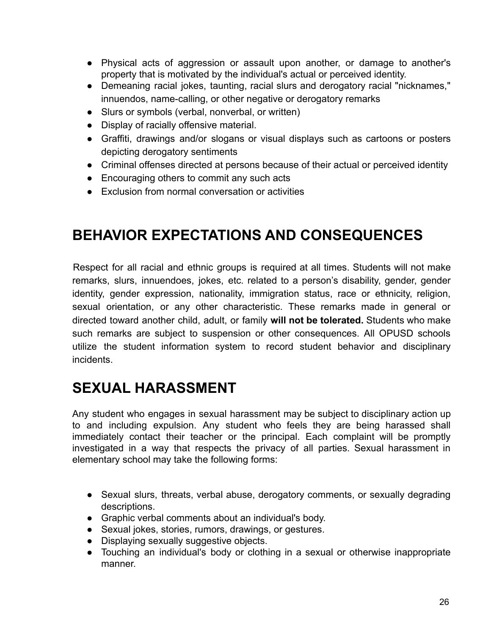- Physical acts of aggression or assault upon another, or damage to another's property that is motivated by the individual's actual or perceived identity.
- Demeaning racial jokes, taunting, racial slurs and derogatory racial "nicknames," innuendos, name-calling, or other negative or derogatory remarks
- Slurs or symbols (verbal, nonverbal, or written)
- Display of racially offensive material.
- Graffiti, drawings and/or slogans or visual displays such as cartoons or posters depicting derogatory sentiments
- Criminal offenses directed at persons because of their actual or perceived identity
- Encouraging others to commit any such acts
- Exclusion from normal conversation or activities

### <span id="page-25-0"></span>**BEHAVIOR EXPECTATIONS AND CONSEQUENCES**

Respect for all racial and ethnic groups is required at all times. Students will not make remarks, slurs, innuendoes, jokes, etc. related to a person's disability, gender, gender identity, gender expression, nationality, immigration status, race or ethnicity, religion, sexual orientation, or any other characteristic. These remarks made in general or directed toward another child, adult, or family **will not be tolerated.** Students who make such remarks are subject to suspension or other consequences. All OPUSD schools utilize the student information system to record student behavior and disciplinary incidents.

### <span id="page-25-1"></span>**SEXUAL HARASSMENT**

Any student who engages in sexual harassment may be subject to disciplinary action up to and including expulsion. Any student who feels they are being harassed shall immediately contact their teacher or the principal. Each complaint will be promptly investigated in a way that respects the privacy of all parties. Sexual harassment in elementary school may take the following forms:

- Sexual slurs, threats, verbal abuse, derogatory comments, or sexually degrading descriptions.
- Graphic verbal comments about an individual's body.
- Sexual jokes, stories, rumors, drawings, or gestures.
- Displaying sexually suggestive objects.
- Touching an individual's body or clothing in a sexual or otherwise inappropriate manner.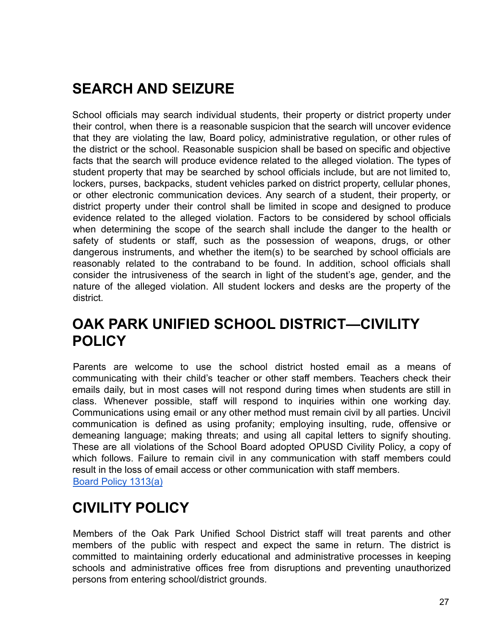# <span id="page-26-0"></span>**SEARCH AND SEIZURE**

School officials may search individual students, their property or district property under their control, when there is a reasonable suspicion that the search will uncover evidence that they are violating the law, Board policy, administrative regulation, or other rules of the district or the school. Reasonable suspicion shall be based on specific and objective facts that the search will produce evidence related to the alleged violation. The types of student property that may be searched by school officials include, but are not limited to, lockers, purses, backpacks, student vehicles parked on district property, cellular phones, or other electronic communication devices. Any search of a student, their property, or district property under their control shall be limited in scope and designed to produce evidence related to the alleged violation. Factors to be considered by school officials when determining the scope of the search shall include the danger to the health or safety of students or staff, such as the possession of weapons, drugs, or other dangerous instruments, and whether the item(s) to be searched by school officials are reasonably related to the contraband to be found. In addition, school officials shall consider the intrusiveness of the search in light of the student's age, gender, and the nature of the alleged violation. All student lockers and desks are the property of the district.

#### <span id="page-26-1"></span>**OAK PARK UNIFIED SCHOOL DISTRICT—CIVILITY POLICY**

Parents are welcome to use the school district hosted email as a means of communicating with their child's teacher or other staff members. Teachers check their emails daily, but in most cases will not respond during times when students are still in class. Whenever possible, staff will respond to inquiries within one working day. Communications using email or any other method must remain civil by all parties. Uncivil communication is defined as using profanity; employing insulting, rude, offensive or demeaning language; making threats; and using all capital letters to signify shouting. These are all violations of the School Board adopted OPUSD Civility Policy, a copy of which follows. Failure to remain civil in any communication with staff members could result in the loss of email access or other communication with staff members. Board Policy 1313(a)

#### <span id="page-26-2"></span>**CIVILITY POLICY**

Members of the Oak Park Unified School District staff will treat parents and other members of the public with respect and expect the same in return. The district is committed to maintaining orderly educational and administrative processes in keeping schools and administrative offices free from disruptions and preventing unauthorized persons from entering school/district grounds.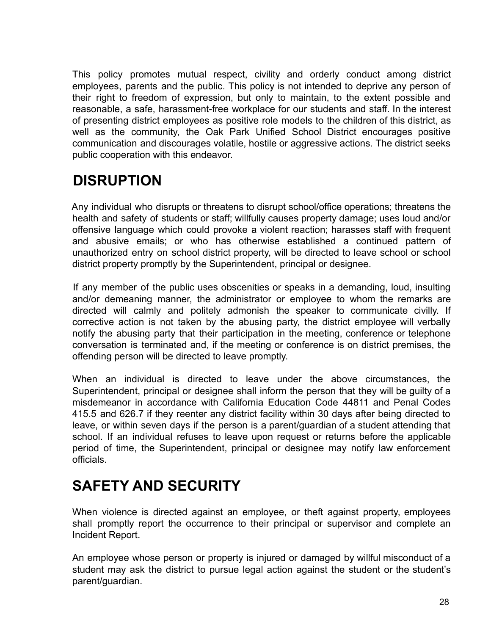This policy promotes mutual respect, civility and orderly conduct among district employees, parents and the public. This policy is not intended to deprive any person of their right to freedom of expression, but only to maintain, to the extent possible and reasonable, a safe, harassment-free workplace for our students and staff. In the interest of presenting district employees as positive role models to the children of this district, as well as the community, the Oak Park Unified School District encourages positive communication and discourages volatile, hostile or aggressive actions. The district seeks public cooperation with this endeavor.

# <span id="page-27-0"></span>**DISRUPTION**

Any individual who disrupts or threatens to disrupt school/office operations; threatens the health and safety of students or staff; willfully causes property damage; uses loud and/or offensive language which could provoke a violent reaction; harasses staff with frequent and abusive emails; or who has otherwise established a continued pattern of unauthorized entry on school district property, will be directed to leave school or school district property promptly by the Superintendent, principal or designee.

If any member of the public uses obscenities or speaks in a demanding, loud, insulting and/or demeaning manner, the administrator or employee to whom the remarks are directed will calmly and politely admonish the speaker to communicate civilly. If corrective action is not taken by the abusing party, the district employee will verbally notify the abusing party that their participation in the meeting, conference or telephone conversation is terminated and, if the meeting or conference is on district premises, the offending person will be directed to leave promptly.

When an individual is directed to leave under the above circumstances, the Superintendent, principal or designee shall inform the person that they will be guilty of a misdemeanor in accordance with California Education Code 44811 and Penal Codes 415.5 and 626.7 if they reenter any district facility within 30 days after being directed to leave, or within seven days if the person is a parent/guardian of a student attending that school. If an individual refuses to leave upon request or returns before the applicable period of time, the Superintendent, principal or designee may notify law enforcement officials.

### <span id="page-27-1"></span>**SAFETY AND SECURITY**

When violence is directed against an employee, or theft against property, employees shall promptly report the occurrence to their principal or supervisor and complete an Incident Report.

An employee whose person or property is injured or damaged by willful misconduct of a student may ask the district to pursue legal action against the student or the student's parent/guardian.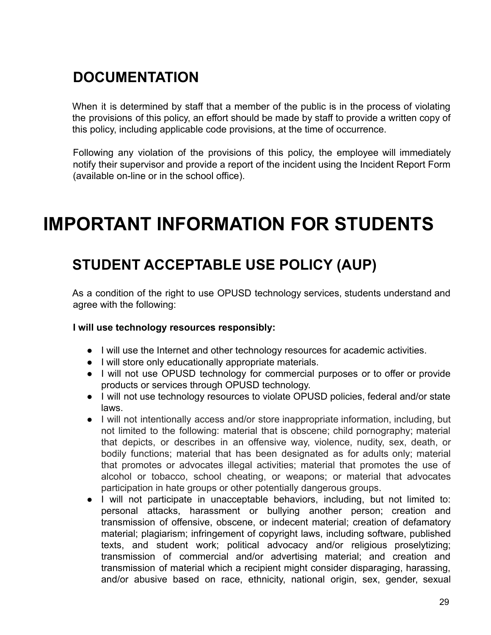## <span id="page-28-0"></span>**DOCUMENTATION**

When it is determined by staff that a member of the public is in the process of violating the provisions of this policy, an effort should be made by staff to provide a written copy of this policy, including applicable code provisions, at the time of occurrence.

Following any violation of the provisions of this policy, the employee will immediately notify their supervisor and provide a report of the incident using the Incident Report Form (available on-line or in the school office).

# <span id="page-28-1"></span>**IMPORTANT INFORMATION FOR STUDENTS**

### <span id="page-28-2"></span>**STUDENT ACCEPTABLE USE POLICY (AUP)**

As a condition of the right to use OPUSD technology services, students understand and agree with the following:

#### **I will use technology resources responsibly:**

- I will use the Internet and other technology resources for academic activities.
- I will store only educationally appropriate materials.
- I will not use OPUSD technology for commercial purposes or to offer or provide products or services through OPUSD technology.
- I will not use technology resources to violate OPUSD policies, federal and/or state laws.
- I will not intentionally access and/or store inappropriate information, including, but not limited to the following: material that is obscene; child pornography; material that depicts, or describes in an offensive way, violence, nudity, sex, death, or bodily functions; material that has been designated as for adults only; material that promotes or advocates illegal activities; material that promotes the use of alcohol or tobacco, school cheating, or weapons; or material that advocates participation in hate groups or other potentially dangerous groups.
- I will not participate in unacceptable behaviors, including, but not limited to: personal attacks, harassment or bullying another person; creation and transmission of offensive, obscene, or indecent material; creation of defamatory material; plagiarism; infringement of copyright laws, including software, published texts, and student work; political advocacy and/or religious proselytizing; transmission of commercial and/or advertising material; and creation and transmission of material which a recipient might consider disparaging, harassing, and/or abusive based on race, ethnicity, national origin, sex, gender, sexual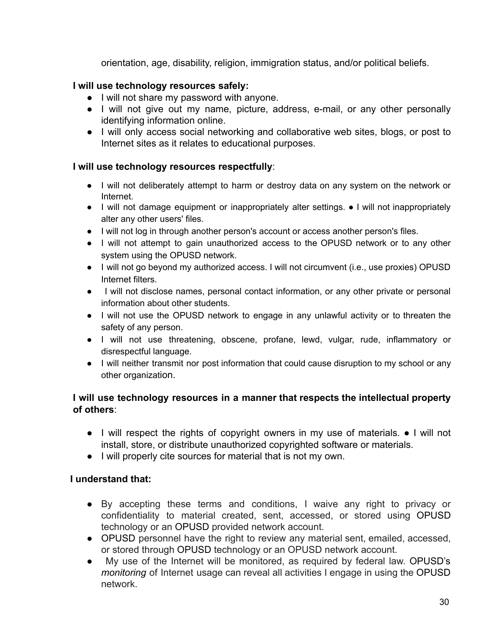orientation, age, disability, religion, immigration status, and/or political beliefs.

#### **I will use technology resources safely:**

- I will not share my password with anyone.
- I will not give out my name, picture, address, e-mail, or any other personally identifying information online.
- I will only access social networking and collaborative web sites, blogs, or post to Internet sites as it relates to educational purposes.

#### **I will use technology resources respectfully**:

- I will not deliberately attempt to harm or destroy data on any system on the network or Internet.
- I will not damage equipment or inappropriately alter settings. I will not inappropriately alter any other users' files.
- I will not log in through another person's account or access another person's files.
- I will not attempt to gain unauthorized access to the OPUSD network or to any other system using the OPUSD network.
- I will not go beyond my authorized access. I will not circumvent (i.e., use proxies) OPUSD Internet filters.
- I will not disclose names, personal contact information, or any other private or personal information about other students.
- I will not use the OPUSD network to engage in any unlawful activity or to threaten the safety of any person.
- I will not use threatening, obscene, profane, lewd, vulgar, rude, inflammatory or disrespectful language.
- I will neither transmit nor post information that could cause disruption to my school or any other organization.

#### **I will use technology resources in a manner that respects the intellectual property of others**:

- I will respect the rights of copyright owners in my use of materials. I will not install, store, or distribute unauthorized copyrighted software or materials.
- I will properly cite sources for material that is not my own.

#### **I understand that:**

- By accepting these terms and conditions, I waive any right to privacy or confidentiality to material created, sent, accessed, or stored using OPUSD technology or an OPUSD provided network account.
- OPUSD personnel have the right to review any material sent, emailed, accessed, or stored through OPUSD technology or an OPUSD network account.
- My use of the Internet will be monitored, as required by federal law. OPUSD's *monitoring* of Internet usage can reveal all activities I engage in using the OPUSD network.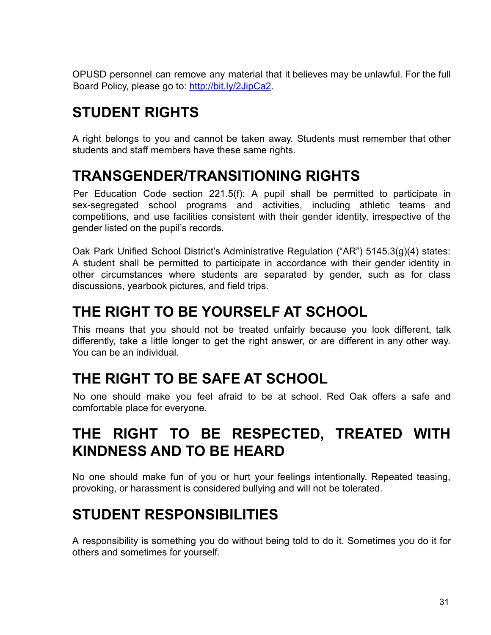OPUSD personnel can remove any material that it believes may be unlawful. For the full Board Policy, please go to: http://bit.ly/2JipCa2.

# <span id="page-30-0"></span>**STUDENT RIGHTS**

A right belongs to you and cannot be taken away. Students must remember that other students and staff members have these same rights.

#### <span id="page-30-1"></span>**TRANSGENDER/TRANSITIONING RIGHTS**

Per Education Code section 221.5(f): A pupil shall be permitted to participate in sex-segregated school programs and activities, including athletic teams and competitions, and use facilities consistent with their gender identity, irrespective of the gender listed on the pupil's records.

Oak Park Unified School District's Administrative Regulation ("AR") 5145.3(g)(4) states: A student shall be permitted to participate in accordance with their gender identity in other circumstances where students are separated by gender, such as for class discussions, yearbook pictures, and field trips.

#### <span id="page-30-2"></span>**THE RIGHT TO BE YOURSELF AT SCHOOL**

This means that you should not be treated unfairly because you look different, talk differently, take a little longer to get the right answer, or are different in any other way. You can be an individual.

#### <span id="page-30-3"></span>**THE RIGHT TO BE SAFE AT SCHOOL**

No one should make you feel afraid to be at school. Red Oak offers a safe and comfortable place for everyone.

### <span id="page-30-4"></span>**THE RIGHT TO BE RESPECTED, TREATED WITH KINDNESS AND TO BE HEARD**

No one should make fun of you or hurt your feelings intentionally. Repeated teasing, provoking, or harassment is considered bullying and will not be tolerated.

# <span id="page-30-5"></span>**STUDENT RESPONSIBILITIES**

A responsibility is something you do without being told to do it. Sometimes you do it for others and sometimes for yourself.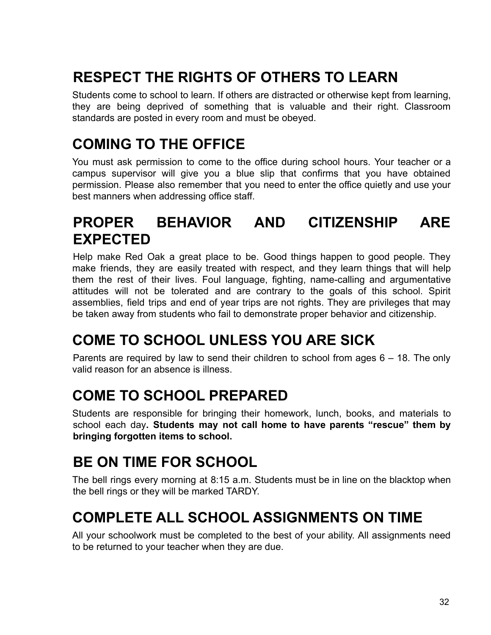# <span id="page-31-0"></span>**RESPECT THE RIGHTS OF OTHERS TO LEARN**

Students come to school to learn. If others are distracted or otherwise kept from learning, they are being deprived of something that is valuable and their right. Classroom standards are posted in every room and must be obeyed.

#### <span id="page-31-1"></span>**COMING TO THE OFFICE**

You must ask permission to come to the office during school hours. Your teacher or a campus supervisor will give you a blue slip that confirms that you have obtained permission. Please also remember that you need to enter the office quietly and use your best manners when addressing office staff.

### <span id="page-31-2"></span>**PROPER BEHAVIOR AND CITIZENSHIP ARE EXPECTED**

Help make Red Oak a great place to be. Good things happen to good people. They make friends, they are easily treated with respect, and they learn things that will help them the rest of their lives. Foul language, fighting, name-calling and argumentative attitudes will not be tolerated and are contrary to the goals of this school. Spirit assemblies, field trips and end of year trips are not rights. They are privileges that may be taken away from students who fail to demonstrate proper behavior and citizenship.

# <span id="page-31-3"></span>**COME TO SCHOOL UNLESS YOU ARE SICK**

Parents are required by law to send their children to school from ages  $6 - 18$ . The only valid reason for an absence is illness.

### <span id="page-31-4"></span>**COME TO SCHOOL PREPARED**

Students are responsible for bringing their homework, lunch, books, and materials to school each day**. Students may not call home to have parents "rescue" them by bringing forgotten items to school.**

#### <span id="page-31-5"></span>**BE ON TIME FOR SCHOOL**

The bell rings every morning at 8:15 a.m. Students must be in line on the blacktop when the bell rings or they will be marked TARDY.

#### <span id="page-31-6"></span>**COMPLETE ALL SCHOOL ASSIGNMENTS ON TIME**

All your schoolwork must be completed to the best of your ability. All assignments need to be returned to your teacher when they are due.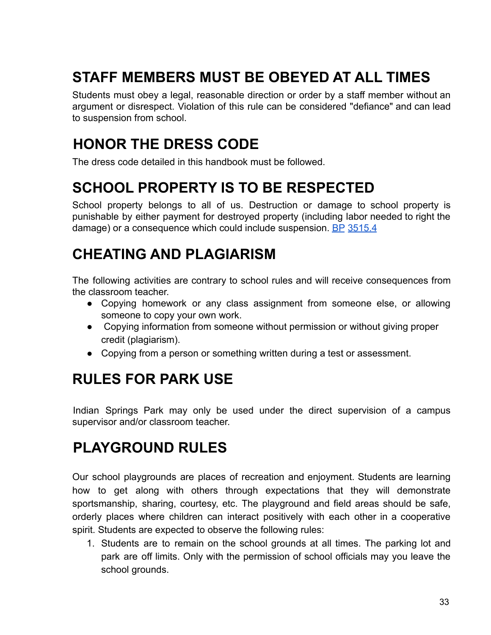# <span id="page-32-0"></span>**STAFF MEMBERS MUST BE OBEYED AT ALL TIMES**

Students must obey a legal, reasonable direction or order by a staff member without an argument or disrespect. Violation of this rule can be considered "defiance" and can lead to suspension from school.

### <span id="page-32-1"></span>**HONOR THE DRESS CODE**

The dress code detailed in this handbook must be followed.

### <span id="page-32-2"></span>**SCHOOL PROPERTY IS TO BE RESPECTED**

School property belongs to all of us. Destruction or damage to school property is punishable by either payment for destroyed property (including labor needed to right the damage) or a consequence which could include suspension. BP 3515.4

### <span id="page-32-3"></span>**CHEATING AND PLAGIARISM**

The following activities are contrary to school rules and will receive consequences from the classroom teacher.

- Copying homework or any class assignment from someone else, or allowing someone to copy your own work.
- Copying information from someone without permission or without giving proper credit (plagiarism).
- Copying from a person or something written during a test or assessment.

# <span id="page-32-4"></span>**RULES FOR PARK USE**

Indian Springs Park may only be used under the direct supervision of a campus supervisor and/or classroom teacher.

# <span id="page-32-5"></span>**PLAYGROUND RULES**

Our school playgrounds are places of recreation and enjoyment. Students are learning how to get along with others through expectations that they will demonstrate sportsmanship, sharing, courtesy, etc. The playground and field areas should be safe, orderly places where children can interact positively with each other in a cooperative spirit. Students are expected to observe the following rules:

1. Students are to remain on the school grounds at all times. The parking lot and park are off limits. Only with the permission of school officials may you leave the school grounds.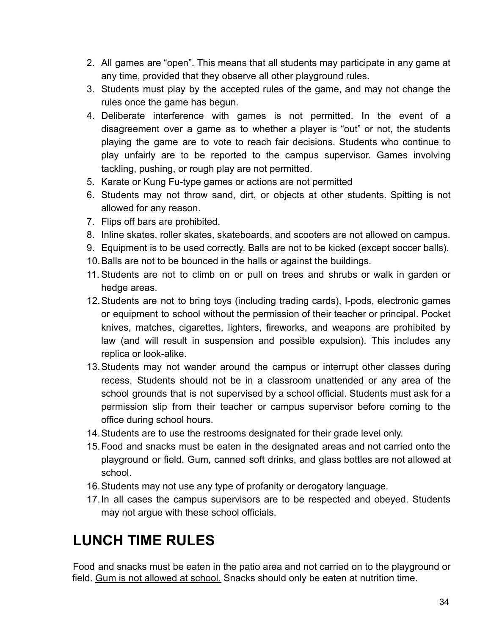- 2. All games are "open". This means that all students may participate in any game at any time, provided that they observe all other playground rules.
- 3. Students must play by the accepted rules of the game, and may not change the rules once the game has begun.
- 4. Deliberate interference with games is not permitted. In the event of a disagreement over a game as to whether a player is "out" or not, the students playing the game are to vote to reach fair decisions. Students who continue to play unfairly are to be reported to the campus supervisor. Games involving tackling, pushing, or rough play are not permitted.
- 5. Karate or Kung Fu-type games or actions are not permitted
- 6. Students may not throw sand, dirt, or objects at other students. Spitting is not allowed for any reason.
- 7. Flips off bars are prohibited.
- 8. Inline skates, roller skates, skateboards, and scooters are not allowed on campus.
- 9. Equipment is to be used correctly. Balls are not to be kicked (except soccer balls).
- 10.Balls are not to be bounced in the halls or against the buildings.
- 11. Students are not to climb on or pull on trees and shrubs or walk in garden or hedge areas.
- 12.Students are not to bring toys (including trading cards), I-pods, electronic games or equipment to school without the permission of their teacher or principal. Pocket knives, matches, cigarettes, lighters, fireworks, and weapons are prohibited by law (and will result in suspension and possible expulsion). This includes any replica or look-alike.
- 13.Students may not wander around the campus or interrupt other classes during recess. Students should not be in a classroom unattended or any area of the school grounds that is not supervised by a school official. Students must ask for a permission slip from their teacher or campus supervisor before coming to the office during school hours.
- 14.Students are to use the restrooms designated for their grade level only.
- 15.Food and snacks must be eaten in the designated areas and not carried onto the playground or field. Gum, canned soft drinks, and glass bottles are not allowed at school.
- 16.Students may not use any type of profanity or derogatory language.
- 17.In all cases the campus supervisors are to be respected and obeyed. Students may not argue with these school officials.

# <span id="page-33-0"></span>**LUNCH TIME RULES**

Food and snacks must be eaten in the patio area and not carried on to the playground or field. Gum is not allowed at school. Snacks should only be eaten at nutrition time.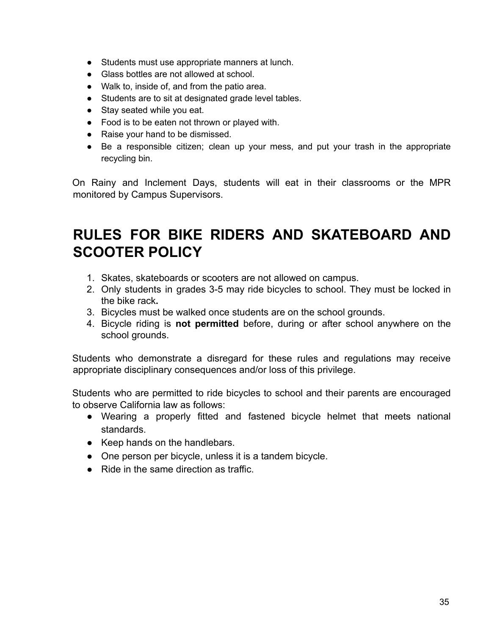- Students must use appropriate manners at lunch.
- Glass bottles are not allowed at school.
- Walk to, inside of, and from the patio area.
- Students are to sit at designated grade level tables.
- Stay seated while you eat.
- Food is to be eaten not thrown or played with.
- Raise your hand to be dismissed.
- Be a responsible citizen; clean up your mess, and put your trash in the appropriate recycling bin.

On Rainy and Inclement Days, students will eat in their classrooms or the MPR monitored by Campus Supervisors.

#### <span id="page-34-0"></span>**RULES FOR BIKE RIDERS AND SKATEBOARD AND SCOOTER POLICY**

- 1. Skates, skateboards or scooters are not allowed on campus.
- 2. Only students in grades 3-5 may ride bicycles to school. They must be locked in the bike rack**.**
- 3. Bicycles must be walked once students are on the school grounds.
- 4. Bicycle riding is **not permitted** before, during or after school anywhere on the school grounds.

Students who demonstrate a disregard for these rules and regulations may receive appropriate disciplinary consequences and/or loss of this privilege.

Students who are permitted to ride bicycles to school and their parents are encouraged to observe California law as follows:

- Wearing a properly fitted and fastened bicycle helmet that meets national standards.
- Keep hands on the handlebars.
- One person per bicycle, unless it is a tandem bicycle.
- Ride in the same direction as traffic.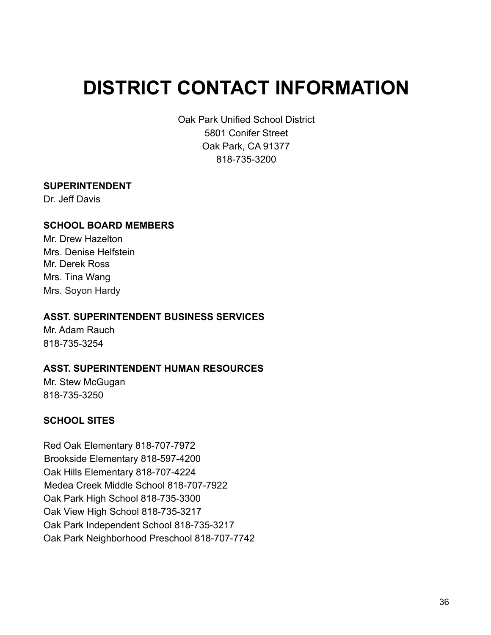# <span id="page-35-0"></span>**DISTRICT CONTACT INFORMATION**

Oak Park Unified School District 5801 Conifer Street Oak Park, CA 91377 818-735-3200

#### **SUPERINTENDENT**

Dr. Jeff Davis

#### **SCHOOL BOARD MEMBERS**

Mr. Drew Hazelton Mrs. Denise Helfstein Mr. Derek Ross Mrs. Tina Wang Mrs. Soyon Hardy

#### **ASST. SUPERINTENDENT BUSINESS SERVICES**

Mr. Adam Rauch 818-735-3254

#### **ASST. SUPERINTENDENT HUMAN RESOURCES**

Mr. Stew McGugan 818-735-3250

#### **SCHOOL SITES**

Red Oak Elementary 818-707-7972 Brookside Elementary 818-597-4200 Oak Hills Elementary 818-707-4224 Medea Creek Middle School 818-707-7922 Oak Park High School 818-735-3300 Oak View High School 818-735-3217 Oak Park Independent School 818-735-3217 Oak Park Neighborhood Preschool 818-707-7742